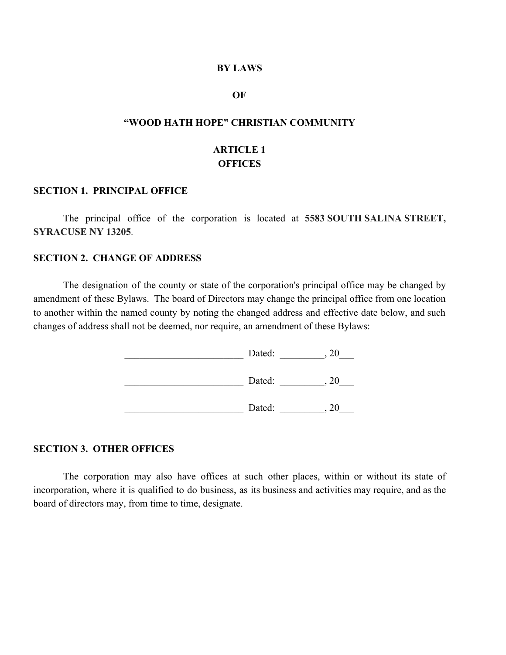#### **BY LAWS**

#### **OF**

# **"WOOD HATH HOPE" CHRISTIAN COMMUNITY**

# **ARTICLE 1 OFFICES**

### **SECTION 1. PRINCIPAL OFFICE**

The principal office of the corporation is located at **5583 SOUTH SALINA STREET, SYRACUSE NY 13205**.

#### **SECTION 2. CHANGE OF ADDRESS**

The designation of the county or state of the corporation's principal office may be changed by amendment of these Bylaws. The board of Directors may change the principal office from one location to another within the named county by noting the changed address and effective date below, and such changes of address shall not be deemed, nor require, an amendment of these Bylaws:

| Dated: |  |
|--------|--|
| Dated: |  |
| Dated: |  |

#### **SECTION 3. OTHER OFFICES**

The corporation may also have offices at such other places, within or without its state of incorporation, where it is qualified to do business, as its business and activities may require, and as the board of directors may, from time to time, designate.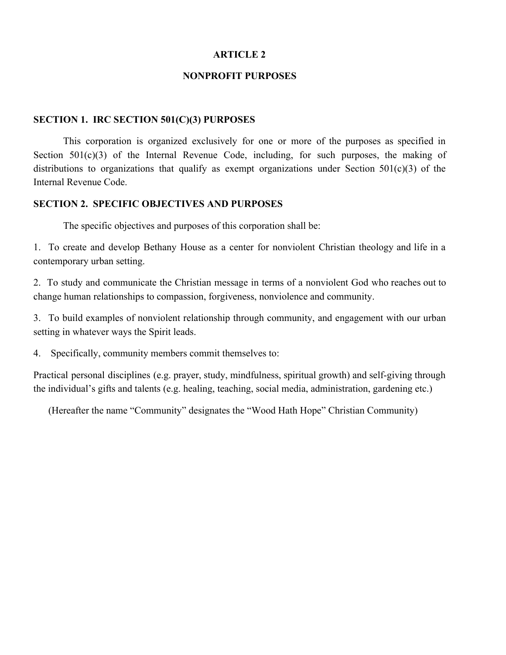# **ARTICLE 2**

#### **NONPROFIT PURPOSES**

### **SECTION 1. IRC SECTION 501(C)(3) PURPOSES**

This corporation is organized exclusively for one or more of the purposes as specified in Section  $501(c)(3)$  of the Internal Revenue Code, including, for such purposes, the making of distributions to organizations that qualify as exempt organizations under Section  $501(c)(3)$  of the Internal Revenue Code.

#### **SECTION 2. SPECIFIC OBJECTIVES AND PURPOSES**

The specific objectives and purposes of this corporation shall be:

1. To create and develop Bethany House as a center for nonviolent Christian theology and life in a contemporary urban setting.

2. To study and communicate the Christian message in terms of a nonviolent God who reaches out to change human relationships to compassion, forgiveness, nonviolence and community.

3. To build examples of nonviolent relationship through community, and engagement with our urban setting in whatever ways the Spirit leads.

4. Specifically, community members commit themselves to:

Practical personal disciplines (e.g. prayer, study, mindfulness, spiritual growth) and self-giving through the individual's gifts and talents (e.g. healing, teaching, social media, administration, gardening etc.)

(Hereafter the name "Community" designates the "Wood Hath Hope" Christian Community)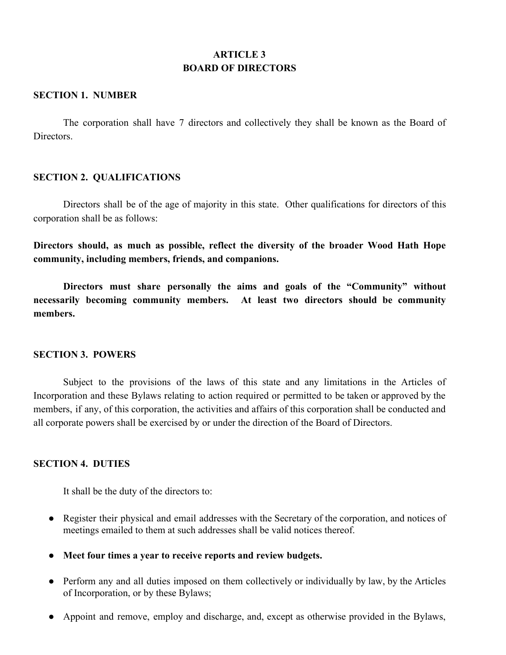# **ARTICLE 3 BOARD OF DIRECTORS**

# **SECTION 1. NUMBER**

The corporation shall have 7 directors and collectively they shall be known as the Board of **Directors** 

# **SECTION 2. QUALIFICATIONS**

Directors shall be of the age of majority in this state. Other qualifications for directors of this corporation shall be as follows:

**Directors should, as much as possible, reflect the diversity of the broader Wood Hath Hope community, including members, friends, and companions.**

**Directors must share personally the aims and goals of the "Community" without necessarily becoming community members. At least two directors should be community members.**

# **SECTION 3. POWERS**

Subject to the provisions of the laws of this state and any limitations in the Articles of Incorporation and these Bylaws relating to action required or permitted to be taken or approved by the members, if any, of this corporation, the activities and affairs of this corporation shall be conducted and all corporate powers shall be exercised by or under the direction of the Board of Directors.

## **SECTION 4. DUTIES**

It shall be the duty of the directors to:

- Register their physical and email addresses with the Secretary of the corporation, and notices of meetings emailed to them at such addresses shall be valid notices thereof.
- **● Meet four times a year to receive reports and review budgets.**
- **●** Perform any and all duties imposed on them collectively or individually by law, by the Articles of Incorporation, or by these Bylaws;
- Appoint and remove, employ and discharge, and, except as otherwise provided in the Bylaws,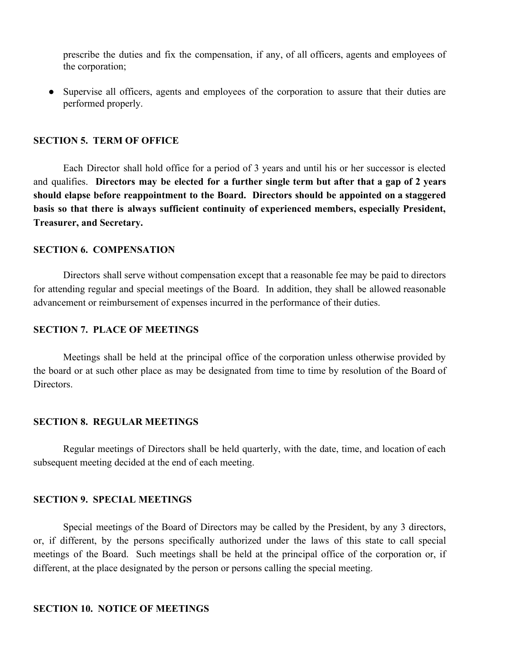prescribe the duties and fix the compensation, if any, of all officers, agents and employees of the corporation;

• Supervise all officers, agents and employees of the corporation to assure that their duties are performed properly.

#### **SECTION 5. TERM OF OFFICE**

Each Director shall hold office for a period of 3 years and until his or her successor is elected and qualifies. **Directors may be elected for a further single term but after that a gap of 2 years should elapse before reappointment to the Board. Directors should be appointed on a staggered basis so that there is always sufficient continuity of experienced members, especially President, Treasurer, and Secretary.**

#### **SECTION 6. COMPENSATION**

Directors shall serve without compensation except that a reasonable fee may be paid to directors for attending regular and special meetings of the Board. In addition, they shall be allowed reasonable advancement or reimbursement of expenses incurred in the performance of their duties.

#### **SECTION 7. PLACE OF MEETINGS**

Meetings shall be held at the principal office of the corporation unless otherwise provided by the board or at such other place as may be designated from time to time by resolution of the Board of **Directors** 

#### **SECTION 8. REGULAR MEETINGS**

Regular meetings of Directors shall be held quarterly, with the date, time, and location of each subsequent meeting decided at the end of each meeting.

#### **SECTION 9. SPECIAL MEETINGS**

Special meetings of the Board of Directors may be called by the President, by any 3 directors, or, if different, by the persons specifically authorized under the laws of this state to call special meetings of the Board. Such meetings shall be held at the principal office of the corporation or, if different, at the place designated by the person or persons calling the special meeting.

#### **SECTION 10. NOTICE OF MEETINGS**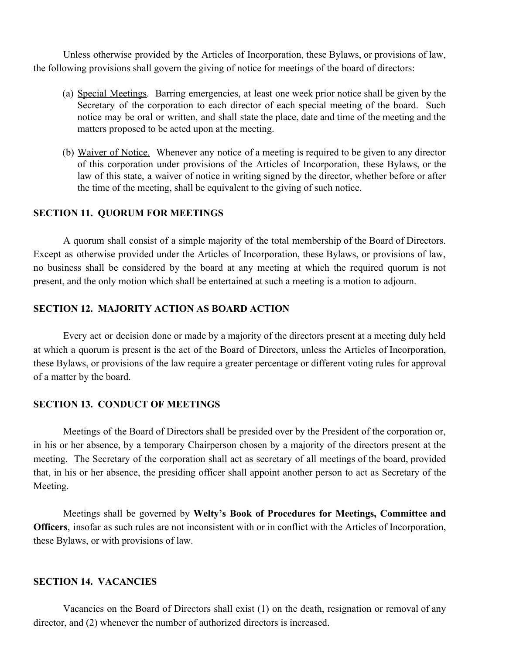Unless otherwise provided by the Articles of Incorporation, these Bylaws, or provisions of law, the following provisions shall govern the giving of notice for meetings of the board of directors:

- (a) Special Meetings. Barring emergencies, at least one week prior notice shall be given by the Secretary of the corporation to each director of each special meeting of the board. Such notice may be oral or written, and shall state the place, date and time of the meeting and the matters proposed to be acted upon at the meeting.
- (b) Waiver of Notice. Whenever any notice of a meeting is required to be given to any director of this corporation under provisions of the Articles of Incorporation, these Bylaws, or the law of this state, a waiver of notice in writing signed by the director, whether before or after the time of the meeting, shall be equivalent to the giving of such notice.

### **SECTION 11. QUORUM FOR MEETINGS**

A quorum shall consist of a simple majority of the total membership of the Board of Directors. Except as otherwise provided under the Articles of Incorporation, these Bylaws, or provisions of law, no business shall be considered by the board at any meeting at which the required quorum is not present, and the only motion which shall be entertained at such a meeting is a motion to adjourn.

### **SECTION 12. MAJORITY ACTION AS BOARD ACTION**

Every act or decision done or made by a majority of the directors present at a meeting duly held at which a quorum is present is the act of the Board of Directors, unless the Articles of Incorporation, these Bylaws, or provisions of the law require a greater percentage or different voting rules for approval of a matter by the board.

#### **SECTION 13. CONDUCT OF MEETINGS**

Meetings of the Board of Directors shall be presided over by the President of the corporation or, in his or her absence, by a temporary Chairperson chosen by a majority of the directors present at the meeting. The Secretary of the corporation shall act as secretary of all meetings of the board, provided that, in his or her absence, the presiding officer shall appoint another person to act as Secretary of the Meeting.

Meetings shall be governed by **Welty's Book of Procedures for Meetings, Committee and Officers**, insofar as such rules are not inconsistent with or in conflict with the Articles of Incorporation, these Bylaws, or with provisions of law.

#### **SECTION 14. VACANCIES**

Vacancies on the Board of Directors shall exist (1) on the death, resignation or removal of any director, and (2) whenever the number of authorized directors is increased.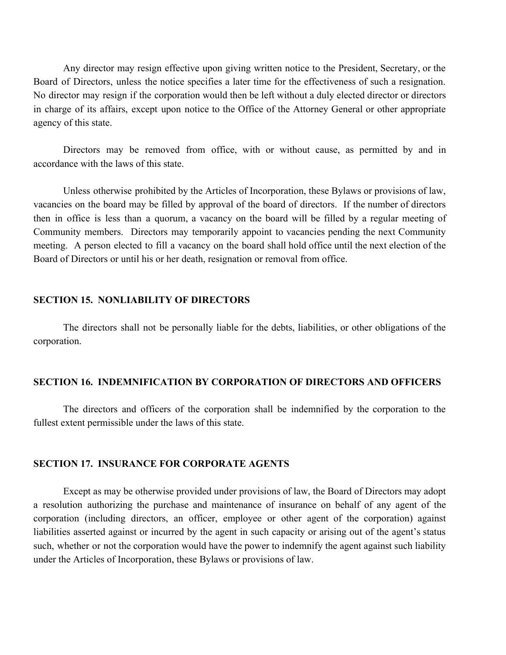Any director may resign effective upon giving written notice to the President, Secretary, or the Board of Directors, unless the notice specifies a later time for the effectiveness of such a resignation. No director may resign if the corporation would then be left without a duly elected director or directors in charge of its affairs, except upon notice to the Office of the Attorney General or other appropriate agency of this state.

Directors may be removed from office, with or without cause, as permitted by and in accordance with the laws of this state.

Unless otherwise prohibited by the Articles of Incorporation, these Bylaws or provisions of law, vacancies on the board may be filled by approval of the board of directors. If the number of directors then in office is less than a quorum, a vacancy on the board will be filled by a regular meeting of Community members. Directors may temporarily appoint to vacancies pending the next Community meeting. A person elected to fill a vacancy on the board shall hold office until the next election of the Board of Directors or until his or her death, resignation or removal from office.

# **SECTION 15. NONLIABILITY OF DIRECTORS**

The directors shall not be personally liable for the debts, liabilities, or other obligations of the corporation.

## **SECTION 16. INDEMNIFICATION BY CORPORATION OF DIRECTORS AND OFFICERS**

The directors and officers of the corporation shall be indemnified by the corporation to the fullest extent permissible under the laws of this state.

# **SECTION 17. INSURANCE FOR CORPORATE AGENTS**

Except as may be otherwise provided under provisions of law, the Board of Directors may adopt a resolution authorizing the purchase and maintenance of insurance on behalf of any agent of the corporation (including directors, an officer, employee or other agent of the corporation) against liabilities asserted against or incurred by the agent in such capacity or arising out of the agent's status such, whether or not the corporation would have the power to indemnify the agent against such liability under the Articles of Incorporation, these Bylaws or provisions of law.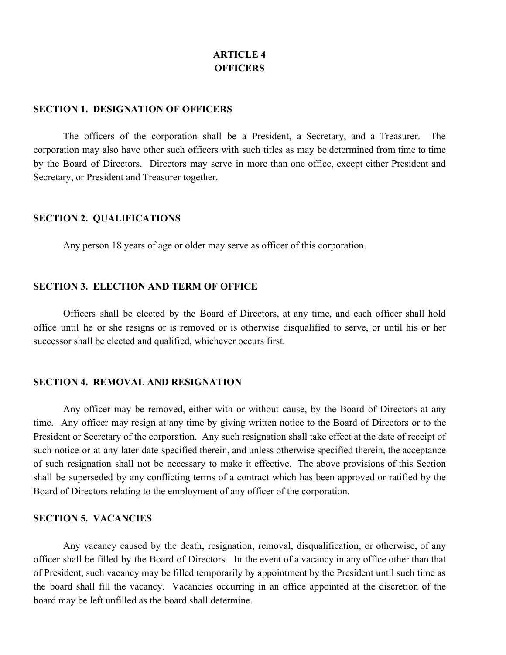# **ARTICLE 4 OFFICERS**

## **SECTION 1. DESIGNATION OF OFFICERS**

The officers of the corporation shall be a President, a Secretary, and a Treasurer. The corporation may also have other such officers with such titles as may be determined from time to time by the Board of Directors. Directors may serve in more than one office, except either President and Secretary, or President and Treasurer together.

#### **SECTION 2. QUALIFICATIONS**

Any person 18 years of age or older may serve as officer of this corporation.

# **SECTION 3. ELECTION AND TERM OF OFFICE**

Officers shall be elected by the Board of Directors, at any time, and each officer shall hold office until he or she resigns or is removed or is otherwise disqualified to serve, or until his or her successor shall be elected and qualified, whichever occurs first.

# **SECTION 4. REMOVAL AND RESIGNATION**

Any officer may be removed, either with or without cause, by the Board of Directors at any time. Any officer may resign at any time by giving written notice to the Board of Directors or to the President or Secretary of the corporation. Any such resignation shall take effect at the date of receipt of such notice or at any later date specified therein, and unless otherwise specified therein, the acceptance of such resignation shall not be necessary to make it effective. The above provisions of this Section shall be superseded by any conflicting terms of a contract which has been approved or ratified by the Board of Directors relating to the employment of any officer of the corporation.

# **SECTION 5. VACANCIES**

Any vacancy caused by the death, resignation, removal, disqualification, or otherwise, of any officer shall be filled by the Board of Directors. In the event of a vacancy in any office other than that of President, such vacancy may be filled temporarily by appointment by the President until such time as the board shall fill the vacancy. Vacancies occurring in an office appointed at the discretion of the board may be left unfilled as the board shall determine.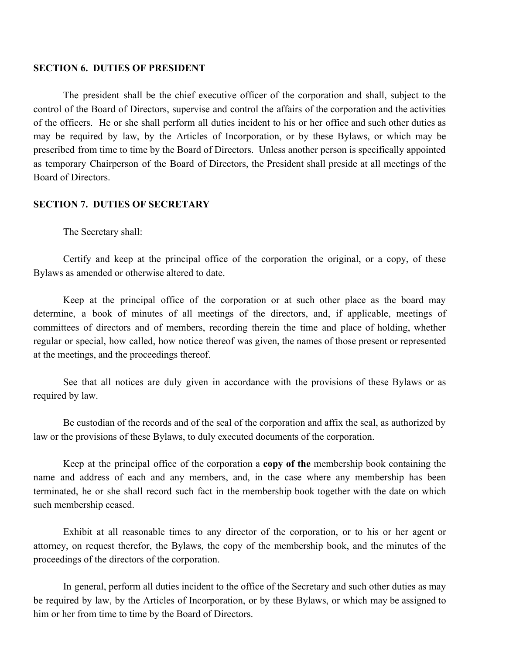#### **SECTION 6. DUTIES OF PRESIDENT**

The president shall be the chief executive officer of the corporation and shall, subject to the control of the Board of Directors, supervise and control the affairs of the corporation and the activities of the officers. He or she shall perform all duties incident to his or her office and such other duties as may be required by law, by the Articles of Incorporation, or by these Bylaws, or which may be prescribed from time to time by the Board of Directors. Unless another person is specifically appointed as temporary Chairperson of the Board of Directors, the President shall preside at all meetings of the Board of Directors.

# **SECTION 7. DUTIES OF SECRETARY**

The Secretary shall:

Certify and keep at the principal office of the corporation the original, or a copy, of these Bylaws as amended or otherwise altered to date.

Keep at the principal office of the corporation or at such other place as the board may determine, a book of minutes of all meetings of the directors, and, if applicable, meetings of committees of directors and of members, recording therein the time and place of holding, whether regular or special, how called, how notice thereof was given, the names of those present or represented at the meetings, and the proceedings thereof.

See that all notices are duly given in accordance with the provisions of these Bylaws or as required by law.

Be custodian of the records and of the seal of the corporation and affix the seal, as authorized by law or the provisions of these Bylaws, to duly executed documents of the corporation.

Keep at the principal office of the corporation a **copy of the** membership book containing the name and address of each and any members, and, in the case where any membership has been terminated, he or she shall record such fact in the membership book together with the date on which such membership ceased.

Exhibit at all reasonable times to any director of the corporation, or to his or her agent or attorney, on request therefor, the Bylaws, the copy of the membership book, and the minutes of the proceedings of the directors of the corporation.

In general, perform all duties incident to the office of the Secretary and such other duties as may be required by law, by the Articles of Incorporation, or by these Bylaws, or which may be assigned to him or her from time to time by the Board of Directors.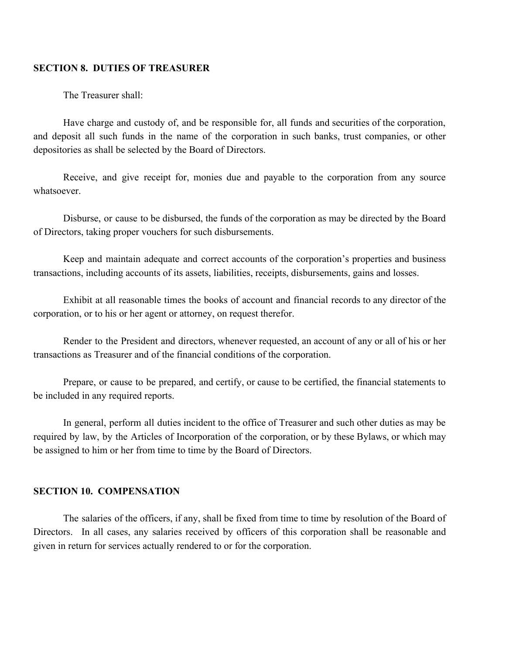#### **SECTION 8. DUTIES OF TREASURER**

The Treasurer shall:

Have charge and custody of, and be responsible for, all funds and securities of the corporation, and deposit all such funds in the name of the corporation in such banks, trust companies, or other depositories as shall be selected by the Board of Directors.

Receive, and give receipt for, monies due and payable to the corporation from any source whatsoever.

Disburse, or cause to be disbursed, the funds of the corporation as may be directed by the Board of Directors, taking proper vouchers for such disbursements.

Keep and maintain adequate and correct accounts of the corporation's properties and business transactions, including accounts of its assets, liabilities, receipts, disbursements, gains and losses.

Exhibit at all reasonable times the books of account and financial records to any director of the corporation, or to his or her agent or attorney, on request therefor.

Render to the President and directors, whenever requested, an account of any or all of his or her transactions as Treasurer and of the financial conditions of the corporation.

Prepare, or cause to be prepared, and certify, or cause to be certified, the financial statements to be included in any required reports.

In general, perform all duties incident to the office of Treasurer and such other duties as may be required by law, by the Articles of Incorporation of the corporation, or by these Bylaws, or which may be assigned to him or her from time to time by the Board of Directors.

# **SECTION 10. COMPENSATION**

The salaries of the officers, if any, shall be fixed from time to time by resolution of the Board of Directors. In all cases, any salaries received by officers of this corporation shall be reasonable and given in return for services actually rendered to or for the corporation.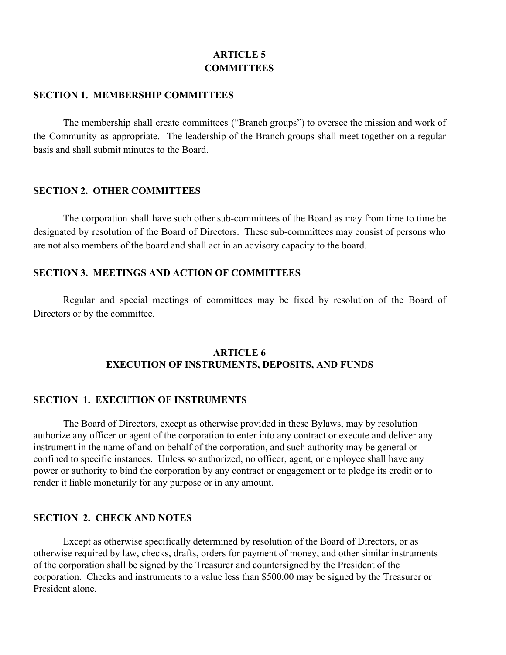# **ARTICLE 5 COMMITTEES**

# **SECTION 1. MEMBERSHIP COMMITTEES**

The membership shall create committees ("Branch groups") to oversee the mission and work of the Community as appropriate. The leadership of the Branch groups shall meet together on a regular basis and shall submit minutes to the Board.

# **SECTION 2. OTHER COMMITTEES**

The corporation shall have such other sub-committees of the Board as may from time to time be designated by resolution of the Board of Directors. These sub-committees may consist of persons who are not also members of the board and shall act in an advisory capacity to the board.

# **SECTION 3. MEETINGS AND ACTION OF COMMITTEES**

Regular and special meetings of committees may be fixed by resolution of the Board of Directors or by the committee.

## **ARTICLE 6 EXECUTION OF INSTRUMENTS, DEPOSITS, AND FUNDS**

# **SECTION 1. EXECUTION OF INSTRUMENTS**

The Board of Directors, except as otherwise provided in these Bylaws, may by resolution authorize any officer or agent of the corporation to enter into any contract or execute and deliver any instrument in the name of and on behalf of the corporation, and such authority may be general or confined to specific instances. Unless so authorized, no officer, agent, or employee shall have any power or authority to bind the corporation by any contract or engagement or to pledge its credit or to render it liable monetarily for any purpose or in any amount.

#### **SECTION 2. CHECK AND NOTES**

Except as otherwise specifically determined by resolution of the Board of Directors, or as otherwise required by law, checks, drafts, orders for payment of money, and other similar instruments of the corporation shall be signed by the Treasurer and countersigned by the President of the corporation. Checks and instruments to a value less than \$500.00 may be signed by the Treasurer or President alone.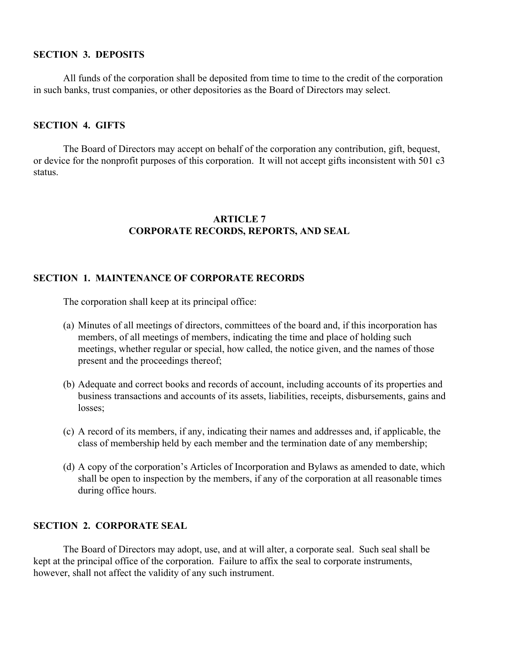# **SECTION 3. DEPOSITS**

All funds of the corporation shall be deposited from time to time to the credit of the corporation in such banks, trust companies, or other depositories as the Board of Directors may select.

#### **SECTION 4. GIFTS**

The Board of Directors may accept on behalf of the corporation any contribution, gift, bequest, or device for the nonprofit purposes of this corporation. It will not accept gifts inconsistent with 501 c3 status.

# **ARTICLE 7 CORPORATE RECORDS, REPORTS, AND SEAL**

## **SECTION 1. MAINTENANCE OF CORPORATE RECORDS**

The corporation shall keep at its principal office:

- (a) Minutes of all meetings of directors, committees of the board and, if this incorporation has members, of all meetings of members, indicating the time and place of holding such meetings, whether regular or special, how called, the notice given, and the names of those present and the proceedings thereof;
- (b) Adequate and correct books and records of account, including accounts of its properties and business transactions and accounts of its assets, liabilities, receipts, disbursements, gains and losses;
- (c) A record of its members, if any, indicating their names and addresses and, if applicable, the class of membership held by each member and the termination date of any membership;
- (d) A copy of the corporation's Articles of Incorporation and Bylaws as amended to date, which shall be open to inspection by the members, if any of the corporation at all reasonable times during office hours.

## **SECTION 2. CORPORATE SEAL**

The Board of Directors may adopt, use, and at will alter, a corporate seal. Such seal shall be kept at the principal office of the corporation. Failure to affix the seal to corporate instruments, however, shall not affect the validity of any such instrument.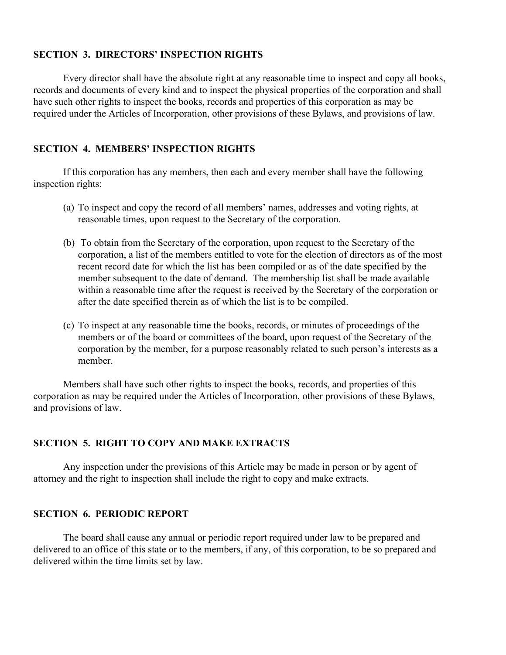# **SECTION 3. DIRECTORS' INSPECTION RIGHTS**

Every director shall have the absolute right at any reasonable time to inspect and copy all books, records and documents of every kind and to inspect the physical properties of the corporation and shall have such other rights to inspect the books, records and properties of this corporation as may be required under the Articles of Incorporation, other provisions of these Bylaws, and provisions of law.

## **SECTION 4. MEMBERS' INSPECTION RIGHTS**

If this corporation has any members, then each and every member shall have the following inspection rights:

- (a) To inspect and copy the record of all members' names, addresses and voting rights, at reasonable times, upon request to the Secretary of the corporation.
- (b) To obtain from the Secretary of the corporation, upon request to the Secretary of the corporation, a list of the members entitled to vote for the election of directors as of the most recent record date for which the list has been compiled or as of the date specified by the member subsequent to the date of demand. The membership list shall be made available within a reasonable time after the request is received by the Secretary of the corporation or after the date specified therein as of which the list is to be compiled.
- (c) To inspect at any reasonable time the books, records, or minutes of proceedings of the members or of the board or committees of the board, upon request of the Secretary of the corporation by the member, for a purpose reasonably related to such person's interests as a member.

Members shall have such other rights to inspect the books, records, and properties of this corporation as may be required under the Articles of Incorporation, other provisions of these Bylaws, and provisions of law.

# **SECTION 5. RIGHT TO COPY AND MAKE EXTRACTS**

Any inspection under the provisions of this Article may be made in person or by agent of attorney and the right to inspection shall include the right to copy and make extracts.

## **SECTION 6. PERIODIC REPORT**

The board shall cause any annual or periodic report required under law to be prepared and delivered to an office of this state or to the members, if any, of this corporation, to be so prepared and delivered within the time limits set by law.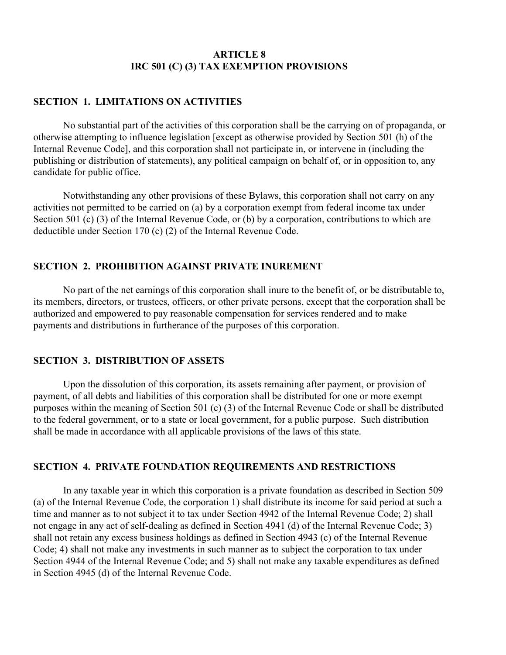# **ARTICLE 8 IRC 501 (C) (3) TAX EXEMPTION PROVISIONS**

# **SECTION 1. LIMITATIONS ON ACTIVITIES**

No substantial part of the activities of this corporation shall be the carrying on of propaganda, or otherwise attempting to influence legislation [except as otherwise provided by Section 501 (h) of the Internal Revenue Code], and this corporation shall not participate in, or intervene in (including the publishing or distribution of statements), any political campaign on behalf of, or in opposition to, any candidate for public office.

Notwithstanding any other provisions of these Bylaws, this corporation shall not carry on any activities not permitted to be carried on (a) by a corporation exempt from federal income tax under Section 501 (c) (3) of the Internal Revenue Code, or (b) by a corporation, contributions to which are deductible under Section 170 (c) (2) of the Internal Revenue Code.

### **SECTION 2. PROHIBITION AGAINST PRIVATE INUREMENT**

No part of the net earnings of this corporation shall inure to the benefit of, or be distributable to, its members, directors, or trustees, officers, or other private persons, except that the corporation shall be authorized and empowered to pay reasonable compensation for services rendered and to make payments and distributions in furtherance of the purposes of this corporation.

## **SECTION 3. DISTRIBUTION OF ASSETS**

Upon the dissolution of this corporation, its assets remaining after payment, or provision of payment, of all debts and liabilities of this corporation shall be distributed for one or more exempt purposes within the meaning of Section 501 (c) (3) of the Internal Revenue Code or shall be distributed to the federal government, or to a state or local government, for a public purpose. Such distribution shall be made in accordance with all applicable provisions of the laws of this state.

#### **SECTION 4. PRIVATE FOUNDATION REQUIREMENTS AND RESTRICTIONS**

In any taxable year in which this corporation is a private foundation as described in Section 509 (a) of the Internal Revenue Code, the corporation 1) shall distribute its income for said period at such a time and manner as to not subject it to tax under Section 4942 of the Internal Revenue Code; 2) shall not engage in any act of self-dealing as defined in Section 4941 (d) of the Internal Revenue Code; 3) shall not retain any excess business holdings as defined in Section 4943 (c) of the Internal Revenue Code; 4) shall not make any investments in such manner as to subject the corporation to tax under Section 4944 of the Internal Revenue Code; and 5) shall not make any taxable expenditures as defined in Section 4945 (d) of the Internal Revenue Code.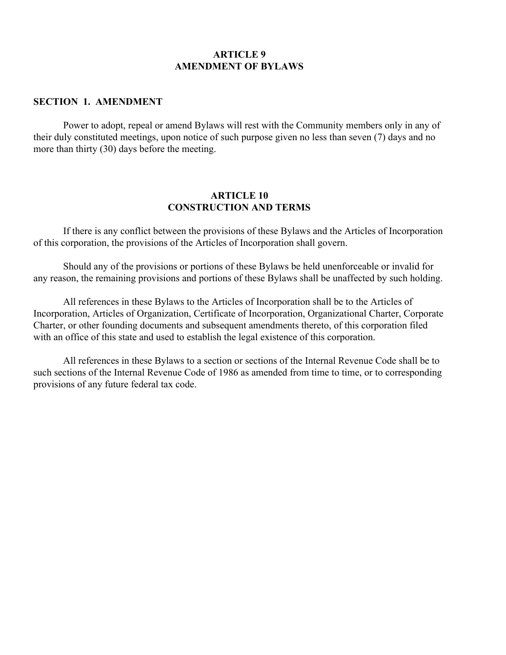# **ARTICLE 9 AMENDMENT OF BYLAWS**

### **SECTION 1. AMENDMENT**

Power to adopt, repeal or amend Bylaws will rest with the Community members only in any of their duly constituted meetings, upon notice of such purpose given no less than seven (7) days and no more than thirty (30) days before the meeting.

# **ARTICLE 10 CONSTRUCTION AND TERMS**

If there is any conflict between the provisions of these Bylaws and the Articles of Incorporation of this corporation, the provisions of the Articles of Incorporation shall govern.

Should any of the provisions or portions of these Bylaws be held unenforceable or invalid for any reason, the remaining provisions and portions of these Bylaws shall be unaffected by such holding.

All references in these Bylaws to the Articles of Incorporation shall be to the Articles of Incorporation, Articles of Organization, Certificate of Incorporation, Organizational Charter, Corporate Charter, or other founding documents and subsequent amendments thereto, of this corporation filed with an office of this state and used to establish the legal existence of this corporation.

All references in these Bylaws to a section or sections of the Internal Revenue Code shall be to such sections of the Internal Revenue Code of 1986 as amended from time to time, or to corresponding provisions of any future federal tax code.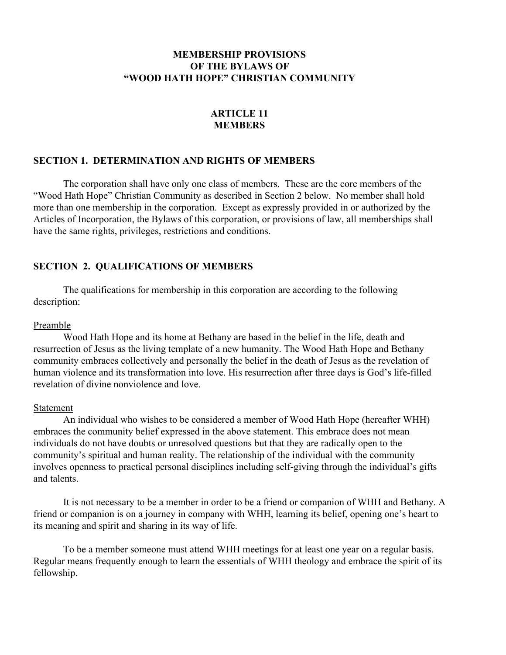# **MEMBERSHIP PROVISIONS OF THE BYLAWS OF "WOOD HATH HOPE" CHRISTIAN COMMUNITY**

# **ARTICLE 11 MEMBERS**

# **SECTION 1. DETERMINATION AND RIGHTS OF MEMBERS**

The corporation shall have only one class of members. These are the core members of the "Wood Hath Hope" Christian Community as described in Section 2 below. No member shall hold more than one membership in the corporation. Except as expressly provided in or authorized by the Articles of Incorporation, the Bylaws of this corporation, or provisions of law, all memberships shall have the same rights, privileges, restrictions and conditions.

# **SECTION 2. QUALIFICATIONS OF MEMBERS**

The qualifications for membership in this corporation are according to the following description:

# Preamble

Wood Hath Hope and its home at Bethany are based in the belief in the life, death and resurrection of Jesus as the living template of a new humanity. The Wood Hath Hope and Bethany community embraces collectively and personally the belief in the death of Jesus as the revelation of human violence and its transformation into love. His resurrection after three days is God's life-filled revelation of divine nonviolence and love.

# Statement

An individual who wishes to be considered a member of Wood Hath Hope (hereafter WHH) embraces the community belief expressed in the above statement. This embrace does not mean individuals do not have doubts or unresolved questions but that they are radically open to the community's spiritual and human reality. The relationship of the individual with the community involves openness to practical personal disciplines including self-giving through the individual's gifts and talents.

It is not necessary to be a member in order to be a friend or companion of WHH and Bethany. A friend or companion is on a journey in company with WHH, learning its belief, opening one's heart to its meaning and spirit and sharing in its way of life.

To be a member someone must attend WHH meetings for at least one year on a regular basis. Regular means frequently enough to learn the essentials of WHH theology and embrace the spirit of its fellowship.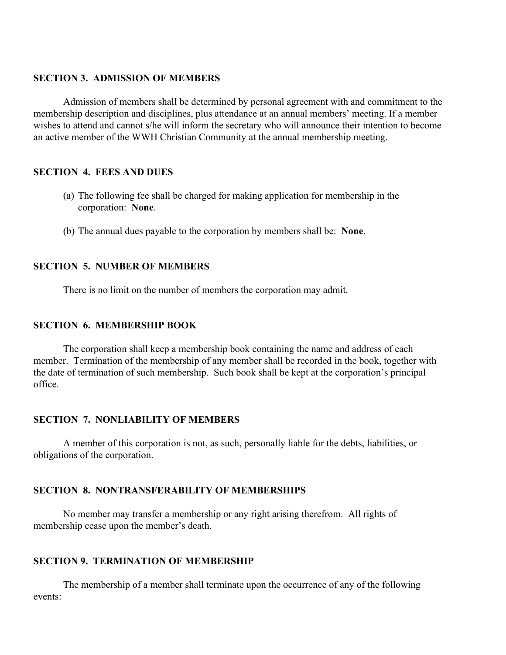# **SECTION 3. ADMISSION OF MEMBERS**

Admission of members shall be determined by personal agreement with and commitment to the membership description and disciplines, plus attendance at an annual members' meeting. If a member wishes to attend and cannot s/he will inform the secretary who will announce their intention to become an active member of the WWH Christian Community at the annual membership meeting.

# **SECTION 4. FEES AND DUES**

- (a) The following fee shall be charged for making application for membership in the corporation: **None**.
- (b) The annual dues payable to the corporation by members shall be: **None**.

# **SECTION 5. NUMBER OF MEMBERS**

There is no limit on the number of members the corporation may admit.

# **SECTION 6. MEMBERSHIP BOOK**

The corporation shall keep a membership book containing the name and address of each member. Termination of the membership of any member shall be recorded in the book, together with the date of termination of such membership. Such book shall be kept at the corporation's principal office.

# **SECTION 7. NONLIABILITY OF MEMBERS**

A member of this corporation is not, as such, personally liable for the debts, liabilities, or obligations of the corporation.

# **SECTION 8. NONTRANSFERABILITY OF MEMBERSHIPS**

No member may transfer a membership or any right arising therefrom. All rights of membership cease upon the member's death.

# **SECTION 9. TERMINATION OF MEMBERSHIP**

The membership of a member shall terminate upon the occurrence of any of the following events: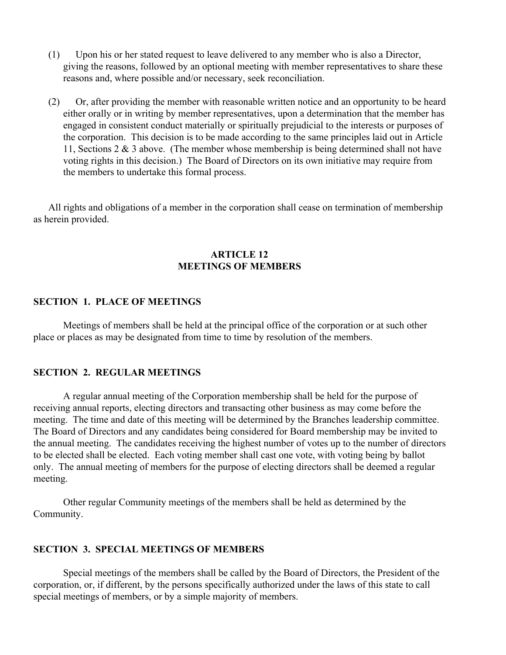- (1) Upon his or her stated request to leave delivered to any member who is also a Director, giving the reasons, followed by an optional meeting with member representatives to share these reasons and, where possible and/or necessary, seek reconciliation.
- (2) Or, after providing the member with reasonable written notice and an opportunity to be heard either orally or in writing by member representatives, upon a determination that the member has engaged in consistent conduct materially or spiritually prejudicial to the interests or purposes of the corporation. This decision is to be made according to the same principles laid out in Article 11, Sections 2 & 3 above. (The member whose membership is being determined shall not have voting rights in this decision.) The Board of Directors on its own initiative may require from the members to undertake this formal process.

All rights and obligations of a member in the corporation shall cease on termination of membership as herein provided.

# **ARTICLE 12 MEETINGS OF MEMBERS**

# **SECTION 1. PLACE OF MEETINGS**

Meetings of members shall be held at the principal office of the corporation or at such other place or places as may be designated from time to time by resolution of the members.

# **SECTION 2. REGULAR MEETINGS**

A regular annual meeting of the Corporation membership shall be held for the purpose of receiving annual reports, electing directors and transacting other business as may come before the meeting. The time and date of this meeting will be determined by the Branches leadership committee. The Board of Directors and any candidates being considered for Board membership may be invited to the annual meeting. The candidates receiving the highest number of votes up to the number of directors to be elected shall be elected. Each voting member shall cast one vote, with voting being by ballot only. The annual meeting of members for the purpose of electing directors shall be deemed a regular meeting.

Other regular Community meetings of the members shall be held as determined by the Community.

# **SECTION 3. SPECIAL MEETINGS OF MEMBERS**

Special meetings of the members shall be called by the Board of Directors, the President of the corporation, or, if different, by the persons specifically authorized under the laws of this state to call special meetings of members, or by a simple majority of members.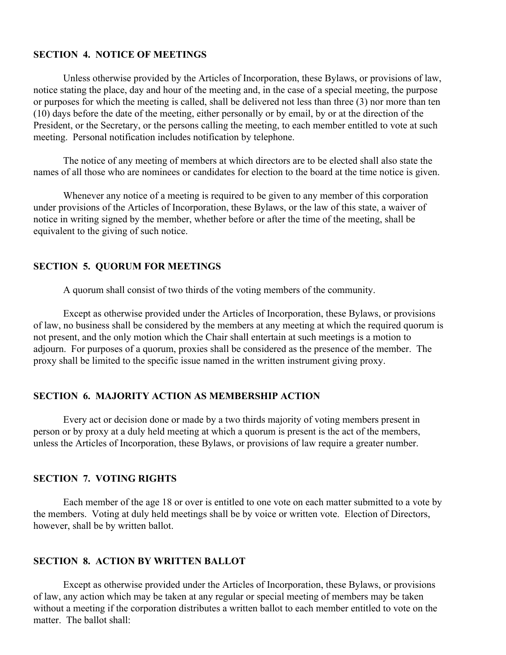# **SECTION 4. NOTICE OF MEETINGS**

Unless otherwise provided by the Articles of Incorporation, these Bylaws, or provisions of law, notice stating the place, day and hour of the meeting and, in the case of a special meeting, the purpose or purposes for which the meeting is called, shall be delivered not less than three (3) nor more than ten (10) days before the date of the meeting, either personally or by email, by or at the direction of the President, or the Secretary, or the persons calling the meeting, to each member entitled to vote at such meeting. Personal notification includes notification by telephone.

The notice of any meeting of members at which directors are to be elected shall also state the names of all those who are nominees or candidates for election to the board at the time notice is given.

Whenever any notice of a meeting is required to be given to any member of this corporation under provisions of the Articles of Incorporation, these Bylaws, or the law of this state, a waiver of notice in writing signed by the member, whether before or after the time of the meeting, shall be equivalent to the giving of such notice.

### **SECTION 5. QUORUM FOR MEETINGS**

A quorum shall consist of two thirds of the voting members of the community.

Except as otherwise provided under the Articles of Incorporation, these Bylaws, or provisions of law, no business shall be considered by the members at any meeting at which the required quorum is not present, and the only motion which the Chair shall entertain at such meetings is a motion to adjourn. For purposes of a quorum, proxies shall be considered as the presence of the member. The proxy shall be limited to the specific issue named in the written instrument giving proxy.

# **SECTION 6. MAJORITY ACTION AS MEMBERSHIP ACTION**

Every act or decision done or made by a two thirds majority of voting members present in person or by proxy at a duly held meeting at which a quorum is present is the act of the members, unless the Articles of Incorporation, these Bylaws, or provisions of law require a greater number.

# **SECTION 7. VOTING RIGHTS**

Each member of the age 18 or over is entitled to one vote on each matter submitted to a vote by the members. Voting at duly held meetings shall be by voice or written vote. Election of Directors, however, shall be by written ballot.

# **SECTION 8. ACTION BY WRITTEN BALLOT**

Except as otherwise provided under the Articles of Incorporation, these Bylaws, or provisions of law, any action which may be taken at any regular or special meeting of members may be taken without a meeting if the corporation distributes a written ballot to each member entitled to vote on the matter. The ballot shall: